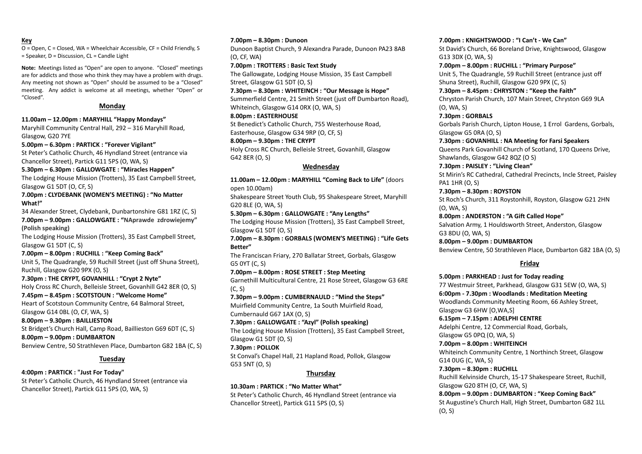#### **Key**

O = Open, C = Closed, WA = Wheelchair Accessible, CF = Child Friendly, S = Speaker, D = Discussion, CL = Candle Light

**Note:** Meetings listed as "Open" are open to anyone. "Closed" meetings are for addicts and those who think they may have a problem with drugs. Any meeting not shown as "Open" should be assumed to be a "Closed" meeting. Any addict is welcome at all meetings, whether "Open" or "Closed".

#### **Monday**

**11.00am – 12.00pm : MARYHILL "Happy Mondays"**

Maryhill Community Central Hall, 292 – 316 Maryhill Road, Glasgow, G20 7YE

**5.00pm – 6.30pm : PARTICK : "Forever Vigilant"** St Peter's Catholic Church, 46 Hyndland Street (entrance via

Chancellor Street), Partick G11 5PS (O, WA, S)

**5.30pm – 6.30pm : GALLOWGATE : "Miracles Happen"**

The Lodging House Mission (Trotters), 35 East Campbell Street, Glasgow G1 5DT (O, CF, S)

**7.00pm : CLYDEBANK (WOMEN'S MEETING) : "No Matter What!"**

34 Alexander Street, Clydebank, Dunbartonshire G81 1RZ (C, S) **7.00pm – 9.00pm : GALLOWGATE : "NAprawde zdrowiejemy" (Polish speaking)**

The Lodging House Mission (Trotters), 35 East Campbell Street, Glasgow G1 5DT (C, S)

**7.00pm – 8.00pm : RUCHILL : "Keep Coming Back"** Unit 5, The Quadrangle, 59 Ruchill Street (just off Shuna Street), Ruchill, Glasgow G20 9PX (O, S)

**7.30pm : THE CRYPT, GOVANHILL : "Crypt 2 Nyte"** Holy Cross RC Church, Belleisle Street, Govanhill G42 8ER (O, S)

**7.45pm – 8.45pm : SCOTSTOUN : "Welcome Home"**

Heart of Scotstoun Community Centre, 64 Balmoral Street, Glasgow G14 0BL (O, CF, WA, S)

**8.00pm – 9.30pm : BAILLIESTON** St Bridget's Church Hall, Camp Road, Baillieston G69 6DT (C, S)

**8.00pm – 9.00pm : DUMBARTON** Benview Centre, 50 Strathleven Place, Dumbarton G82 1BA (C, S)

### **Tuesday**

**4:00pm : PARTICK : "Just For Today"** St Peter's Catholic Church, 46 Hyndland Street (entrance via Chancellor Street), Partick G11 5PS (O, WA, S)

**7.00pm – 8.30pm : Dunoon**

Dunoon Baptist Church, 9 Alexandra Parade, Dunoon PA23 8AB (O, CF, WA)

**7.00pm : TROTTERS : Basic Text Study**

The Gallowgate, Lodging House Mission, 35 East Campbell Street, Glasgow G1 5DT (O, S)

**7.30pm – 8.30pm : WHITEINCH : "Our Message is Hope"** Summerfield Centre, 21 Smith Street (just off Dumbarton Road). Whiteinch, Glasgow G14 0RX (O, WA, S)

**8.00pm : EASTERHOUSE**

St Benedict's Catholic Church, 755 Westerhouse Road, Easterhouse, Glasgow G34 9RP (O, CF, S)

#### **8.00pm – 9.30pm : THE CRYPT**

Holy Cross RC Church, Belleisle Street, Govanhill, Glasgow G42 8ER (O, S)

#### **Wednesday**

**11.00am – 12.00pm : MARYHILL "Coming Back to Life"** (doors open 10.00am)

Shakespeare Street Youth Club, 95 Shakespeare Street, Maryhill G20 8LE (O, WA, S)

**5.30pm – 6.30pm : GALLOWGATE : "Any Lengths"** The Lodging House Mission (Trotters), 35 East Campbell Street, Glasgow G1 5DT (O, S)

**7.00pm – 8.30pm : GORBALS (WOMEN'S MEETING) : "Life Gets Better"**

The Franciscan Friary, 270 Ballatar Street, Gorbals, Glasgow G5 0YT (C, S)

**7.00pm – 8.00pm : ROSE STREET : Step Meeting** Garnethill Multicultural Centre, 21 Rose Street, Glasgow G3 6RE (C, S)

**7.30pm – 9.00pm : CUMBERNAULD : "Mind the Steps"** Muirfield Community Centre, 1a South Muirfield Road, Cumbernauld G67 1AX (O, S)

**7.30pm : GALLOWGATE : "Azyl" (Polish speaking)** The Lodging House Mission (Trotters), 35 East Campbell Street, Glasgow G1 5DT (O, S)

#### **7.30pm : POLLOK**

St Conval's Chapel Hall, 21 Hapland Road, Pollok, Glasgow G53 5NT (O, S)

#### **Thursday**

**10.30am : PARTICK : "No Matter What"** St Peter's Catholic Church, 46 Hyndland Street (entrance via Chancellor Street), Partick G11 5PS (O, S)

#### **7.00pm : KNIGHTSWOOD : "I Can't - We Can"**

St David's Church, 66 Boreland Drive, Knightswood, Glasgow G13 3DX (O, WA, S)

**7.00pm – 8.00pm : RUCHILL : "Primary Purpose"** Unit 5, The Quadrangle, 59 Ruchill Street (entrance just off Shuna Street), Ruchill, Glasgow G20 9PX (C, S)

**7.30pm – 8.45pm : CHRYSTON : "Keep the Faith"**

Chryston Parish Church, 107 Main Street, Chryston G69 9LA (O, WA, S)

**7.30pm : GORBALS** Gorbals Parish Church, Lipton House, 1 Errol Gardens, Gorbals,

Glasgow G5 0RA (O, S)

**7.30pm : GOVANHILL : NA Meeting for Farsi Speakers** Queens Park Govanhill Church of Scotland, 170 Queens Drive, Shawlands, Glasgow G42 8QZ (O S)

**7.30pm : PAISLEY : "Living Clean"**

St Mirin's RC Cathedral, Cathedral Precincts, Incle Street, Paisley PA1 1HR (O, S)

**7.30pm – 8.30pm : ROYSTON**

St Roch's Church, 311 Roystonhill, Royston, Glasgow G21 2HN (O, WA, S)

**8.00pm : ANDERSTON : "A Gift Called Hope"** Salvation Army, 1 Houldsworth Street, Anderston, Glasgow G3 8DU (O, WA, S)

**8.00pm – 9.00pm : DUMBARTON** Benview Centre, 50 Strathleven Place, Dumbarton G82 1BA (O, S)

### **Friday**

**5.00pm : PARKHEAD : Just for Today reading** 77 Westmuir Street, Parkhead, Glasgow G31 5EW (O, WA, S) **6:00pm - 7.30pm : Woodlands : Meditation Meeting** Woodlands Community Meeting Room, 66 Ashley Street, Glasgow G3 [6HW](https://www.google.com/maps/place/Ashley+St,+Glasgow+G3+6HW/@55.8706931,-4.2745537,17z/data=!3m1!4b1!4m5!3m4!1s0x4888442e506823ab:0x57ac2d61b80d63da!8m2!3d55.8706397!4d-4.2724073) [O,WA,S] **6.15pm – 7.15pm : ADELPHI CENTRE** Adelphi Centre, 12 Commercial Road, Gorbals, Glasgow G5 0PQ (O, WA, S) **7.00pm – 8.00pm : WHITEINCH** Whiteinch Community Centre, 1 Northinch Street, Glasgow G14 0UG (C, WA, S) **7.30pm – 8.30pm : RUCHILL** Ruchill Kelvinside Church, 15-17 Shakespeare Street, Ruchill, Glasgow [G20](https://www.google.com/maps/place/Ruchill+Kelvinside+Church+of+Scotland/@55.8868713,-4.2854034,17z/data=!4m13!1m7!3m6!1s0x488845b52c815767:0xdce13e4683d9a27a!2sShakespeare+St,+Glasgow+G20+8TH!3b1!8m2!3d55.8866686!4d-4.2833389!3m4!1s0x488845b56b1582f5:0x7d4a507ccc0e02a1!8m2!3d55.8867813!4d-4.2834175) 8TH (O, CF, WA, S) **8.00pm – 9.00pm : DUMBARTON : "Keep Coming Back"** St Augustine's Church Hall, High Street, Dumbarton G82 1LL (O, S)